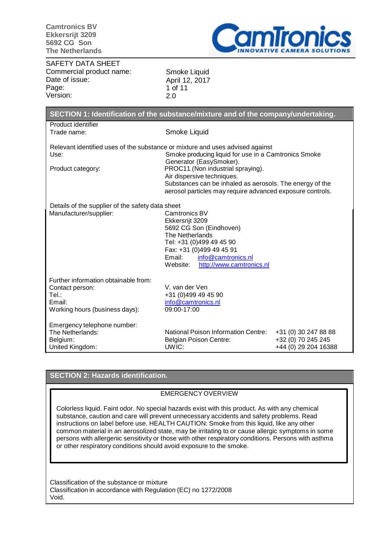

SAFETY DATA SHEET Commercial product name: Date of issue: Page: Version:

Smoke Liquid April 12, 2017 1 of 11 2.0

| SECTION 1: Identification of the substance/mixture and of the company/undertaking.                           |                                                                                                                                                                                                                                                                                                                                                              |                                                                    |  |  |
|--------------------------------------------------------------------------------------------------------------|--------------------------------------------------------------------------------------------------------------------------------------------------------------------------------------------------------------------------------------------------------------------------------------------------------------------------------------------------------------|--------------------------------------------------------------------|--|--|
| Product identifier                                                                                           |                                                                                                                                                                                                                                                                                                                                                              |                                                                    |  |  |
| Trade name:                                                                                                  | Smoke Liquid                                                                                                                                                                                                                                                                                                                                                 |                                                                    |  |  |
| Use:<br>Product category:                                                                                    | Relevant identified uses of the substance or mixture and uses advised against<br>Smoke producing liquid for use in a Camtronics Smoke<br>Generator (EasySmoker).<br>PROC11 (Non industrial spraying).<br>Air dispersive techniques.<br>Substances can be inhaled as aerosols. The energy of the<br>aerosol particles may require advanced exposure controls. |                                                                    |  |  |
| Details of the supplier of the safety data sheet<br>Manufacturer/supplier:                                   | Camtronics BV<br>Ekkersrijt 3209<br>5692 CG Son (Eindhoven)<br><b>The Netherlands</b><br>Tel: +31 (0)499 49 45 90<br>Fax: +31 (0)499 49 45 91<br>Email:<br>info@camtronics.nl<br>http://www.camtronics.nl<br>Website:                                                                                                                                        |                                                                    |  |  |
| Further information obtainable from:<br>Contact person:<br>Tel.:<br>Email:<br>Working hours (business days): | V. van der Ven<br>+31 (0)499 49 45 90<br>info@camtronics.nl<br>09:00-17:00                                                                                                                                                                                                                                                                                   |                                                                    |  |  |
| Emergency telephone number:<br>The Netherlands:<br>Belgium:<br>United Kingdom:                               | National Poison Information Centre:<br><b>Belgian Poison Centre:</b><br>UWIC:                                                                                                                                                                                                                                                                                | +31 (0) 30 247 88 88<br>+32 (0) 70 245 245<br>+44 (0) 29 204 16388 |  |  |

## **SECTION 2: Hazards identification.**

### EMERGENCY OVERVIEW

Colorless liquid. Faint odor. No special hazards exist with this product. As with any chemical substance, caution and care will prevent unnecessary accidents and safety problems. Read instructions on label before use. HEALTH CAUTION: Smoke from this liquid, like any other common material in an aerosolized state, may be irritating to or cause allergic symptoms in some persons with allergenic sensitivity or those with other respiratory conditions. Persons with asthma or other respiratory conditions should avoid exposure to the smoke.

Classification of the substance or mixture Classification in accordance with Regulation (EC) no 1272/2008 Void.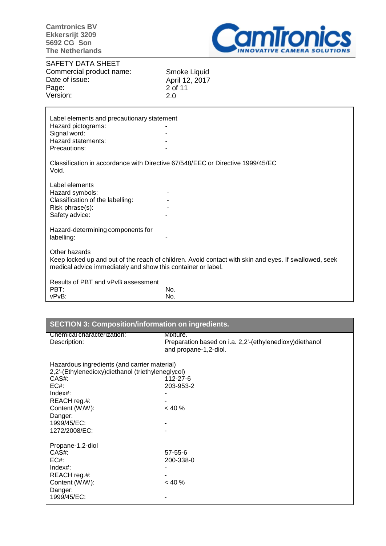

SAFETY DATA SHEET Commercial product name: Date of issue: Page: Version:

Smoke Liquid April 12, 2017 2 of 11 2.0

| Label elements and precautionary statement<br>Hazard pictograms:<br>Signal word:<br>Hazard statements:<br>Precautions: |                                                                                                       |
|------------------------------------------------------------------------------------------------------------------------|-------------------------------------------------------------------------------------------------------|
| Void.                                                                                                                  | Classification in accordance with Directive 67/548/EEC or Directive 1999/45/EC                        |
| Label elements<br>Hazard symbols:<br>Classification of the labelling:<br>Risk phrase(s):<br>Safety advice:             |                                                                                                       |
| Hazard-determining components for<br>labelling:                                                                        |                                                                                                       |
| Other hazards<br>medical advice immediately and show this container or label.                                          | Keep locked up and out of the reach of children. Avoid contact with skin and eyes. If swallowed, seek |
| Results of PBT and vPvB assessment<br>PBT:<br>vPvB:                                                                    | No.<br>No.                                                                                            |

| <b>SECTION 3: Composition/information on ingredients.</b>  |                                                                                              |  |  |
|------------------------------------------------------------|----------------------------------------------------------------------------------------------|--|--|
| Chemical characterization:<br>Description:                 | Mixture.<br>Preparation based on i.a. 2,2'-(ethylenedioxy)diethanol<br>and propane-1,2-diol. |  |  |
| Hazardous ingredients (and carrier material)               |                                                                                              |  |  |
| 2,2'-(Ethylenedioxy)diethanol (triethyleneglycol)<br>CAS#: | 112-27-6                                                                                     |  |  |
| $EC#$ :                                                    | 203-953-2                                                                                    |  |  |
| Index#:                                                    |                                                                                              |  |  |
| REACH reg.#:                                               |                                                                                              |  |  |
| Content (W/W):                                             | $< 40 \%$                                                                                    |  |  |
| Danger:                                                    |                                                                                              |  |  |
| 1999/45/EC:                                                |                                                                                              |  |  |
| 1272/2008/EC:                                              |                                                                                              |  |  |
| Propane-1,2-diol                                           |                                                                                              |  |  |
| CAS#:                                                      | $57 - 55 - 6$                                                                                |  |  |
| EC#                                                        | 200-338-0                                                                                    |  |  |
| Index#:                                                    |                                                                                              |  |  |
| REACH reg.#:                                               |                                                                                              |  |  |
| Content (W/W):                                             | < 40%                                                                                        |  |  |
| Danger:                                                    |                                                                                              |  |  |
| 1999/45/EC:                                                |                                                                                              |  |  |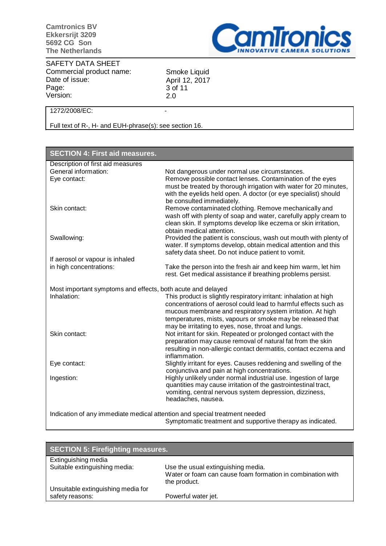

SAFETY DATA SHEET Commercial product name: Date of issue: Page: Version:

Smoke Liquid April 12, 2017 3 of 11 2.0

# 1272/2008/EC: -

Full text of R-, H- and EUH-phrase(s): see section 16.

| <b>SECTION 4: First aid measures.</b>                                      |                                                                                                                                                                                                                                                                  |  |  |
|----------------------------------------------------------------------------|------------------------------------------------------------------------------------------------------------------------------------------------------------------------------------------------------------------------------------------------------------------|--|--|
| Description of first aid measures                                          |                                                                                                                                                                                                                                                                  |  |  |
| General information:                                                       | Not dangerous under normal use circumstances.                                                                                                                                                                                                                    |  |  |
| Eye contact:                                                               | Remove possible contact lenses. Contamination of the eyes                                                                                                                                                                                                        |  |  |
|                                                                            | must be treated by thorough irrigation with water for 20 minutes,<br>with the eyelids held open. A doctor (or eye specialist) should<br>be consulted immediately.                                                                                                |  |  |
| Skin contact:                                                              | Remove contaminated clothing. Remove mechanically and                                                                                                                                                                                                            |  |  |
|                                                                            | wash off with plenty of soap and water, carefully apply cream to<br>clean skin. If symptoms develop like eczema or skin irritation,<br>obtain medical attention.                                                                                                 |  |  |
| Swallowing:                                                                | Provided the patient is conscious, wash out mouth with plenty of                                                                                                                                                                                                 |  |  |
|                                                                            | water. If symptoms develop, obtain medical attention and this                                                                                                                                                                                                    |  |  |
|                                                                            | safety data sheet. Do not induce patient to vomit.                                                                                                                                                                                                               |  |  |
| If aerosol or vapour is inhaled                                            |                                                                                                                                                                                                                                                                  |  |  |
| in high concentrations:                                                    | Take the person into the fresh air and keep him warm, let him                                                                                                                                                                                                    |  |  |
|                                                                            | rest. Get medical assistance if breathing problems persist.                                                                                                                                                                                                      |  |  |
|                                                                            |                                                                                                                                                                                                                                                                  |  |  |
| Most important symptoms and effects, both acute and delayed                |                                                                                                                                                                                                                                                                  |  |  |
| Inhalation:                                                                | This product is slightly respiratory irritant: inhalation at high<br>concentrations of aerosol could lead to harmful effects such as<br>mucous membrane and respiratory system irritation. At high<br>temperatures, mists, vapours or smoke may be released that |  |  |
|                                                                            | may be irritating to eyes, nose, throat and lungs.                                                                                                                                                                                                               |  |  |
| Skin contact:                                                              | Not irritant for skin. Repeated or prolonged contact with the<br>preparation may cause removal of natural fat from the skin<br>resulting in non-allergic contact dermatitis, contact eczema and                                                                  |  |  |
|                                                                            | inflammation.                                                                                                                                                                                                                                                    |  |  |
| Eye contact:                                                               | Slightly irritant for eyes. Causes reddening and swelling of the                                                                                                                                                                                                 |  |  |
|                                                                            | conjunctiva and pain at high concentrations.                                                                                                                                                                                                                     |  |  |
| Ingestion:                                                                 | Highly unlikely under normal industrial use. Ingestion of large<br>quantities may cause irritation of the gastrointestinal tract,<br>vomiting, central nervous system depression, dizziness,<br>headaches, nausea.                                               |  |  |
|                                                                            |                                                                                                                                                                                                                                                                  |  |  |
| Indication of any immediate medical attention and special treatment needed |                                                                                                                                                                                                                                                                  |  |  |
|                                                                            | Symptomatic treatment and supportive therapy as indicated.                                                                                                                                                                                                       |  |  |

| <b>SECTION 5: Firefighting measures.</b> |                                                            |  |
|------------------------------------------|------------------------------------------------------------|--|
| Extinguishing media                      |                                                            |  |
| Suitable extinguishing media:            | Use the usual extinguishing media.                         |  |
|                                          | Water or foam can cause foam formation in combination with |  |
|                                          | the product.                                               |  |
| Unsuitable extinguishing media for       |                                                            |  |
| safety reasons:                          | Powerful water jet.                                        |  |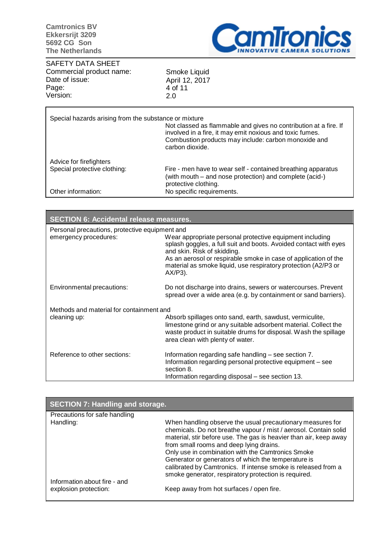

SAFETY DATA SHEET Commercial product name: Date of issue: Page: Version:

Smoke Liquid April 12, 2017 4 of 11 2.0

| Special hazards arising from the substance or mixture                         | Not classed as flammable and gives no contribution at a fire. If<br>involved in a fire, it may emit noxious and toxic fumes.<br>Combustion products may include: carbon monoxide and<br>carbon dioxide. |
|-------------------------------------------------------------------------------|---------------------------------------------------------------------------------------------------------------------------------------------------------------------------------------------------------|
| Advice for firefighters<br>Special protective clothing:<br>Other information: | Fire - men have to wear self - contained breathing apparatus<br>(with mouth – and nose protection) and complete (acid-)<br>protective clothing.<br>No specific requirements.                            |

| <b>SECTION 6: Accidental release measures.</b> |                                                                                                                                                                                                                                    |  |  |
|------------------------------------------------|------------------------------------------------------------------------------------------------------------------------------------------------------------------------------------------------------------------------------------|--|--|
| Personal precautions, protective equipment and |                                                                                                                                                                                                                                    |  |  |
| emergency procedures:                          | Wear appropriate personal protective equipment including<br>splash goggles, a full suit and boots. Avoided contact with eyes<br>and skin. Risk of skidding.                                                                        |  |  |
|                                                | As an aerosol or respirable smoke in case of application of the<br>material as smoke liquid, use respiratory protection (A2/P3 or<br>$AX/P3$ ).                                                                                    |  |  |
| Environmental precautions:                     | Do not discharge into drains, sewers or watercourses. Prevent<br>spread over a wide area (e.g. by containment or sand barriers).                                                                                                   |  |  |
| Methods and material for containment and       |                                                                                                                                                                                                                                    |  |  |
| cleaning up:                                   | Absorb spillages onto sand, earth, sawdust, vermiculite,<br>limestone grind or any suitable adsorbent material. Collect the<br>waste product in suitable drums for disposal. Wash the spillage<br>area clean with plenty of water. |  |  |
| Reference to other sections:                   | Information regarding safe handling - see section 7.<br>Information regarding personal protective equipment – see<br>section 8.                                                                                                    |  |  |
|                                                | Information regarding disposal – see section 13.                                                                                                                                                                                   |  |  |

| SECTION 7: Handling and storage.          |                                                                                                                                                                                                                                                                                                                                                                                                                                                                                     |
|-------------------------------------------|-------------------------------------------------------------------------------------------------------------------------------------------------------------------------------------------------------------------------------------------------------------------------------------------------------------------------------------------------------------------------------------------------------------------------------------------------------------------------------------|
| Precautions for safe handling             |                                                                                                                                                                                                                                                                                                                                                                                                                                                                                     |
| Handling:<br>Information about fire - and | When handling observe the usual precautionary measures for<br>chemicals. Do not breathe vapour / mist / aerosol. Contain solid<br>material, stir before use. The gas is heavier than air, keep away<br>from small rooms and deep lying drains.<br>Only use in combination with the Camtronics Smoke<br>Generator or generators of which the temperature is<br>calibrated by Camtronics. If intense smoke is released from a<br>smoke generator, respiratory protection is required. |
| explosion protection:                     | Keep away from hot surfaces / open fire.                                                                                                                                                                                                                                                                                                                                                                                                                                            |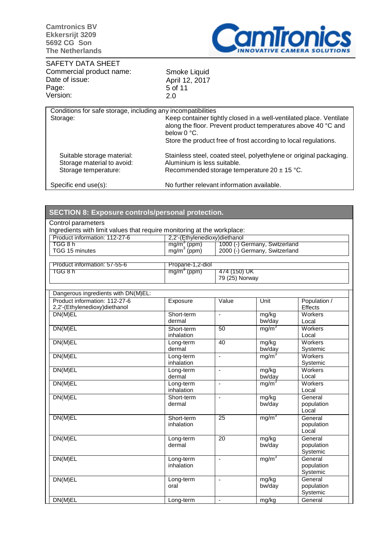

SAFETY DATA SHEET Commercial product name: Date of issue: Page: Version:

Smoke Liquid April 12, 2017 5 of 11 2.0

| Conditions for safe storage, including any incompatibilities                     |                                                                                                                                                      |
|----------------------------------------------------------------------------------|------------------------------------------------------------------------------------------------------------------------------------------------------|
| Storage:                                                                         | Keep container tightly closed in a well-ventilated place. Ventilate<br>along the floor. Prevent product temperatures above 40 °C and<br>below 0 °C.  |
|                                                                                  | Store the product free of frost according to local regulations.                                                                                      |
| Suitable storage material:<br>Storage material to avoid:<br>Storage temperature: | Stainless steel, coated steel, polyethylene or original packaging.<br>Aluminium is less suitable.<br>Recommended storage temperature $20 \pm 15$ °C. |
| Specific end use(s):                                                             | No further relevant information available.                                                                                                           |

| <b>SECTION 8: Exposure controls/personal protection.</b>                |                                           |                          |                               |                     |  |
|-------------------------------------------------------------------------|-------------------------------------------|--------------------------|-------------------------------|---------------------|--|
| Control parameters                                                      |                                           |                          |                               |                     |  |
| Ingredients with limit values that require monitoring at the workplace: |                                           |                          |                               |                     |  |
| Product information: 112-27-6                                           | 2,2'-(Ethylenedioxy)diethanol             |                          |                               |                     |  |
| TGG 8 h                                                                 | $mg/m^3$ (ppm)<br>mg/m <sup>3</sup> (ppm) |                          | 1000 (-) Germany, Switzerland |                     |  |
| TGG 15 minutes                                                          |                                           |                          | 2000 (-) Germany, Switzerland |                     |  |
| Product information: 57-55-6                                            | Propane-1,2-diol                          |                          |                               |                     |  |
| TGG 8 h                                                                 | $mg/m3$ (ppm)                             | 474 (150) UK             |                               |                     |  |
|                                                                         |                                           | 79 (25) Norway           |                               |                     |  |
|                                                                         |                                           |                          |                               |                     |  |
| Dangerous ingredients with DN(M)EL:                                     |                                           |                          |                               |                     |  |
| Product information: 112-27-6                                           | Exposure                                  | Value                    | Unit                          | Population /        |  |
| 2,2'-(Ethylenedioxy)diethanol<br>DN(M)EL                                | Short-term                                | $\overline{a}$           | mg/kg                         | Effects<br>Workers  |  |
|                                                                         | dermal                                    |                          | bw/day                        | Local               |  |
| DN(M)EL                                                                 | Short-term                                | 50                       | mg/m <sup>3</sup>             | <b>Workers</b>      |  |
|                                                                         | inhalation                                |                          |                               | Local               |  |
| DN(M)EL                                                                 | Long-term                                 | 40                       | mg/kg                         | Workers             |  |
|                                                                         | dermal                                    |                          | bw/day                        | Systemic            |  |
| DN(M)EL                                                                 | Long-term                                 | $\overline{a}$           | mg/m <sup>3</sup>             | Workers             |  |
|                                                                         | inhalation                                |                          |                               | Systemic            |  |
| DN(M)EL                                                                 | Long-term                                 | $\overline{a}$           | mg/kg                         | Workers             |  |
|                                                                         | dermal                                    |                          | bw/day                        | Local               |  |
| DN(M)EL                                                                 | Long-term<br>inhalation                   | ä,                       | mg/m <sup>3</sup>             | Workers<br>Local    |  |
| DN(M)EL                                                                 | Short-term                                | ÷,                       | mg/kg                         | General             |  |
|                                                                         | dermal                                    |                          | bw/day                        | population          |  |
|                                                                         |                                           |                          |                               | Local               |  |
| DN(M)EL                                                                 | Short-term                                | 25                       | mg/m <sup>3</sup>             | General             |  |
|                                                                         | inhalation                                |                          |                               | population          |  |
|                                                                         |                                           |                          |                               | Local               |  |
| DN(M)EL                                                                 | Long-term                                 | 20                       | mg/kg                         | General             |  |
|                                                                         | dermal                                    |                          | bw/day                        | population          |  |
|                                                                         |                                           |                          |                               | Systemic            |  |
| DN(M)EL                                                                 | Long-term                                 | $\overline{\phantom{a}}$ | mg/m <sup>3</sup>             | General             |  |
|                                                                         | inhalation                                |                          |                               | population          |  |
| DN(M)EL                                                                 | Long-term                                 | $\overline{a}$           | mg/kg                         | Systemic<br>General |  |
|                                                                         | oral                                      |                          | bw/day                        | population          |  |
|                                                                         |                                           |                          |                               | Systemic            |  |
| DN(M)EL                                                                 | Long-term                                 | $\overline{a}$           | mg/kg                         | General             |  |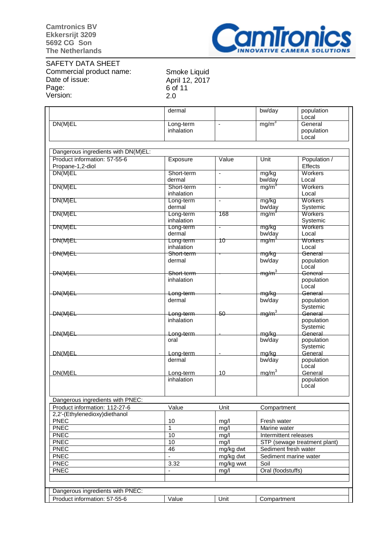

SAFETY DATA SHEET Commercial product name: Date of issue: Page: Version:

Smoke Liquid April 12, 2017 6 of 11 2.0

|                                     | dermal                  |                          | bw/day                       | population<br>Local    |
|-------------------------------------|-------------------------|--------------------------|------------------------------|------------------------|
| DN(M)EL                             | Long-term               | $\overline{\phantom{a}}$ | mg/m <sup>3</sup>            | General                |
|                                     | inhalation              |                          |                              | population             |
|                                     |                         |                          |                              | Local                  |
| Dangerous ingredients with DN(M)EL: |                         |                          |                              |                        |
| Product information: 57-55-6        | Exposure                | Value                    | Unit                         | Population /           |
| Propane-1,2-diol                    |                         |                          |                              | Effects                |
| DN(M)EL                             | Short-term              | ä,                       | mg/kg                        | Workers                |
|                                     | dermal                  |                          | bw/day                       | Local                  |
| DN(M)EL                             | Short-term              | $\overline{\phantom{a}}$ | mg/m <sup>3</sup>            | Workers                |
| DN(M)EL                             | inhalation              | $\blacksquare$           | mg/kg                        | Local<br>Workers       |
|                                     | Long-term<br>dermal     |                          | bw/day                       | Systemic               |
| DN(M)EL                             | Long-term               | 168                      | mg/m <sup>3</sup>            | Workers                |
|                                     | inhalation              |                          |                              | Systemic               |
| DN(M)EL                             | Long-term               | $\overline{\phantom{a}}$ | mg/kg                        | Workers                |
|                                     | dermal                  |                          | bw/day                       | Local                  |
| DN(M)EL                             | Long-term<br>inhalation | 10                       | mg/m                         | Workers<br>Local       |
| DN(M)EL                             | Short-term              |                          | mg/kg                        | General                |
|                                     | dermal                  |                          | bw/day                       | population             |
|                                     |                         |                          |                              | Local                  |
| <del>DN(M)EL</del>                  | Short-term              |                          | <del>mg/m<sup>3</sup></del>  | <del>General</del>     |
|                                     | inhalation              |                          |                              | population             |
|                                     |                         |                          |                              | Local                  |
| DN(M)EL                             | Long-term               |                          | mg/kg                        | General                |
|                                     | dermal                  |                          | bw/day                       | population<br>Systemic |
| DN(M)EL                             | Long-term               | 50                       | <del>mg/m<sup>3</sup></del>  | General                |
|                                     | inhalation              |                          |                              | population             |
|                                     |                         |                          |                              | Systemic               |
| DN(M)EL                             | Long-term               |                          | mg/kg                        | General                |
|                                     | oral                    |                          | bw/day                       | population             |
| DN(M)EL                             | Long-term               |                          | mg/kg                        | Systemic<br>General    |
|                                     | dermal                  |                          | bw/day                       | population             |
|                                     |                         |                          |                              | Local                  |
| DN(M)EL                             | Long-term               | 10                       | mg/m <sup>3</sup>            | General                |
|                                     | inhalation              |                          |                              | population             |
|                                     |                         |                          |                              | Local                  |
| Dangerous ingredients with PNEC:    |                         |                          |                              |                        |
| Product information: 112-27-6       | Value                   | Unit                     | Compartment                  |                        |
| 2,2'-(Ethylenedioxy)diethanol       |                         |                          |                              |                        |
| <b>PNEC</b>                         | 10                      | mg/l                     | Fresh water                  |                        |
| <b>PNEC</b>                         | 1                       | mg/l                     | Marine water                 |                        |
| <b>PNEC</b>                         | 10                      | mg/l                     | Intermittent releases        |                        |
| PNEC                                | 10                      | mg/l                     | STP (sewage treatment plant) |                        |
| <b>PNEC</b>                         | 46                      | mg/kg dwt                | Sediment fresh water         |                        |
| <b>PNEC</b>                         |                         | mg/kg dwt                | Sediment marine water        |                        |
| <b>PNEC</b>                         | 3.32                    | mg/kg wwt                | Soil                         |                        |
| <b>PNEC</b>                         | ÷,                      | mg/l                     | Oral (foodstuffs)            |                        |
|                                     |                         |                          |                              |                        |
| Dangerous ingredients with PNEC:    |                         |                          |                              |                        |
| Product information: 57-55-6        | Value                   | Unit                     | Compartment                  |                        |
|                                     |                         |                          |                              |                        |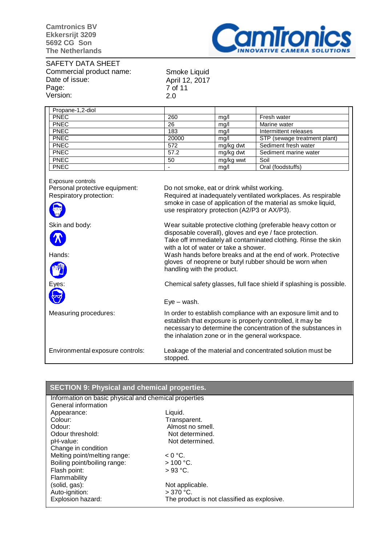

SAFETY DATA SHEET Commercial product name: Date of issue: Page: Version:

Smoke Liquid April 12, 2017 7 of 11 2.0

| Propane-1,2-diol |       |           |                              |
|------------------|-------|-----------|------------------------------|
| <b>PNEC</b>      | 260   | mq/l      | Fresh water                  |
| <b>PNEC</b>      | 26    | mq/l      | Marine water                 |
| <b>PNEC</b>      | 183   | mq/l      | Intermittent releases        |
| <b>PNEC</b>      | 20000 | mq/l      | STP (sewage treatment plant) |
| <b>PNEC</b>      | 572   | mg/kg dwt | Sediment fresh water         |
| <b>PNEC</b>      | 57.2  | mg/kg dwt | Sediment marine water        |
| <b>PNEC</b>      | 50    | mg/kg wwt | Soil                         |
| <b>PNEC</b>      |       | mq/l      | Oral (foodstuffs)            |

Exposure controls<br>Personal protective equipment: Personal protective equipment: Do not smoke, eat or drink whilst working.<br>Respiratory protection: Required at inadequately ventilated workp Required at inadequately ventilated workplaces. As respirable smoke in case of application of the material as smoke liquid, use respiratory protection (A2/P3 or AX/P3). Skin and body: Wear suitable protective clothing (preferable heavy cotton or disposable coverall), gloves and eye / face protection. Take off immediately all contaminated clothing. Rinse the skin with a lot of water or take a shower. Hands: Wash hands before breaks and at the end of work. Protective gloves of neoprene or butyl rubber should be worn when handling with the product. Eyes: Chemical safety glasses, full face shield if splashing is possible. Eye – wash. Measuring procedures: In order to establish compliance with an exposure limit and to establish that exposure is properly controlled, it may be necessary to determine the concentration of the substances in the inhalation zone or in the general workspace. Environmental exposure controls: Leakage of the material and concentrated solution must be stopped.

| <b>SECTION 9: Physical and chemical properties.</b>   |                                             |  |
|-------------------------------------------------------|---------------------------------------------|--|
| Information on basic physical and chemical properties |                                             |  |
| General information                                   |                                             |  |
| Appearance:                                           | Liquid.                                     |  |
| Colour:                                               | Transparent.                                |  |
| Odour:                                                | Almost no smell.                            |  |
| Odour threshold:                                      | Not determined.                             |  |
| pH-value:                                             | Not determined.                             |  |
| Change in condition                                   |                                             |  |
| Melting point/melting range:                          | $< 0 °C$ .                                  |  |
| Boiling point/boiling range:                          | $>100$ °C.                                  |  |
| Flash point:                                          | $>93 °C$ .                                  |  |
| Flammability                                          |                                             |  |
| (solid, gas):                                         | Not applicable.                             |  |
| Auto-ignition:                                        | $>370$ °C.                                  |  |
| Explosion hazard:                                     | The product is not classified as explosive. |  |
|                                                       |                                             |  |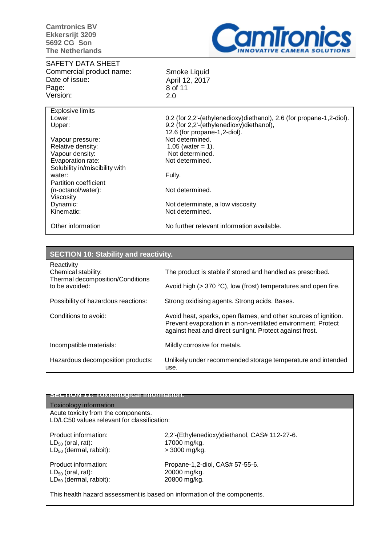

#### SAFETY DATA SHEET Commercial product name: Date of issue: Page: Version:

Smoke Liquid April 12, 2017 8 of 11 2.0

| <b>Explosive limits</b>        |                                                                      |
|--------------------------------|----------------------------------------------------------------------|
| Lower:                         | 0.2 (for 2,2'-(ethylenedioxy)diethanol), 2.6 (for propane-1,2-diol). |
| Upper:                         | 9.2 (for 2,2'-(ethylenedioxy)diethanol),                             |
|                                | 12.6 (for propane-1,2-diol).                                         |
| Vapour pressure:               | Not determined.                                                      |
| Relative density:              | 1.05 (water = 1).                                                    |
| Vapour density:                | Not determined.                                                      |
| Evaporation rate:              | Not determined.                                                      |
| Solubility in/miscibility with |                                                                      |
| water:                         | Fully.                                                               |
| Partition coefficient          |                                                                      |
| (n-octanol/water):             | Not determined.                                                      |
| Viscosity                      |                                                                      |
| Dynamic:                       | Not determinate, a low viscosity.                                    |
| Kinematic:                     | Not determined.                                                      |
| Other information              | No further relevant information available.                           |

| <b>SECTION 10: Stability and reactivity.</b>                                            |                                                                                                                                                                                             |
|-----------------------------------------------------------------------------------------|---------------------------------------------------------------------------------------------------------------------------------------------------------------------------------------------|
| Reactivity<br>Chemical stability:<br>Thermal decomposition/Conditions<br>to be avoided: | The product is stable if stored and handled as prescribed.                                                                                                                                  |
|                                                                                         | Avoid high (> 370 °C), low (frost) temperatures and open fire.                                                                                                                              |
| Possibility of hazardous reactions:                                                     | Strong oxidising agents. Strong acids. Bases.                                                                                                                                               |
| Conditions to avoid:                                                                    | Avoid heat, sparks, open flames, and other sources of ignition.<br>Prevent evaporation in a non-ventilated environment. Protect<br>against heat and direct sunlight. Protect against frost. |
| Incompatible materials:                                                                 | Mildly corrosive for metals.                                                                                                                                                                |
| Hazardous decomposition products:                                                       | Unlikely under recommended storage temperature and intended<br>use.                                                                                                                         |

### **SECTION 11: Toxicological information.**

# Toxicology information Acute toxicity from the components. LD/LC50 values relevant for classification: Product information: 2,2'-(Ethylenedioxy)diethanol, CAS# 112-27-6.  $LD_{50}$  (oral, rat): 17000 mg/kg.<br> $LD_{50}$  (dermal, rabbit):  $\phantom{CD} > 3000$  mg/kg.  $LD_{50}$  (dermal, rabbit): Product information:  $P_{\text{P}}(1) = P_{\text{P}}(2)$  Propane-1,2-diol, CAS# 57-55-6.<br> $L D_{\text{S}}(1)$  20000 mg/kg.  $LD_{50}$  (oral, rat): 20000 mg/kg.<br> $LD_{50}$  (dermal, rabbit): 20800 mg/kg.  $LD_{50}$  (dermal, rabbit):

This health hazard assessment is based on information of the components.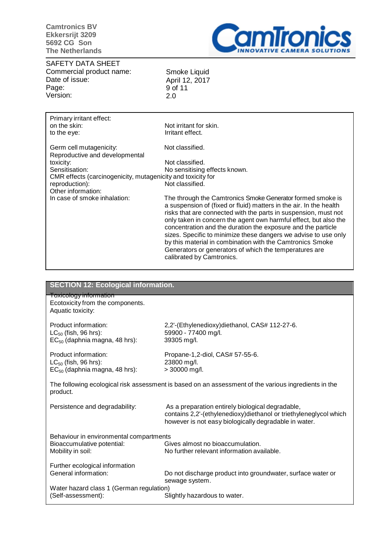

SAFETY DATA SHEET Commercial product name: Date of issue: Page: Version:

Smoke Liquid April 12, 2017 9 of 11 2.0

| Primary irritant effect:<br>on the skin:<br>to the eye:     | Not irritant for skin.<br>Irritant effect.                                                                                                                                                                                                                                                                                                                                                                                                                                                                                                                     |
|-------------------------------------------------------------|----------------------------------------------------------------------------------------------------------------------------------------------------------------------------------------------------------------------------------------------------------------------------------------------------------------------------------------------------------------------------------------------------------------------------------------------------------------------------------------------------------------------------------------------------------------|
| Germ cell mutagenicity:<br>Reproductive and developmental   | Not classified.                                                                                                                                                                                                                                                                                                                                                                                                                                                                                                                                                |
| toxicity:                                                   | Not classified.                                                                                                                                                                                                                                                                                                                                                                                                                                                                                                                                                |
| Sensitisation:                                              | No sensitising effects known.                                                                                                                                                                                                                                                                                                                                                                                                                                                                                                                                  |
| CMR effects (carcinogenicity, mutagenicity and toxicity for |                                                                                                                                                                                                                                                                                                                                                                                                                                                                                                                                                                |
| reproduction):                                              | Not classified.                                                                                                                                                                                                                                                                                                                                                                                                                                                                                                                                                |
| Other information:                                          |                                                                                                                                                                                                                                                                                                                                                                                                                                                                                                                                                                |
| In case of smoke inhalation:                                | The through the Camtronics Smoke Generator formed smoke is<br>a suspension of (fixed or fluid) matters in the air. In the health<br>risks that are connected with the parts in suspension, must not<br>only taken in concern the agent own harmful effect, but also the<br>concentration and the duration the exposure and the particle<br>sizes. Specific to minimize these dangers we advise to use only<br>by this material in combination with the Camtronics Smoke<br>Generators or generators of which the temperatures are<br>calibrated by Camtronics. |

| <b>SECTION 12: Ecological information.</b>                                                                       |                                                                                                                            |  |
|------------------------------------------------------------------------------------------------------------------|----------------------------------------------------------------------------------------------------------------------------|--|
| <b>Toxicology information</b><br>Ecotoxicity from the components.                                                |                                                                                                                            |  |
| Aquatic toxicity:                                                                                                |                                                                                                                            |  |
| Product information:                                                                                             | 2,2'-(Ethylenedioxy)diethanol, CAS# 112-27-6.                                                                              |  |
| $LC_{50}$ (fish, 96 hrs):<br>$EC_{50}$ (daphnia magna, 48 hrs):                                                  | 59900 - 77400 mg/l.<br>39305 mg/l.                                                                                         |  |
| Product information:                                                                                             | Propane-1,2-diol, CAS# 57-55-6.                                                                                            |  |
| $LC_{50}$ (fish, 96 hrs):<br>$EC_{50}$ (daphnia magna, 48 hrs):                                                  | 23800 mg/l.<br>> 30000 mg/l.                                                                                               |  |
|                                                                                                                  |                                                                                                                            |  |
| The following ecological risk assessment is based on an assessment of the various ingredients in the<br>product. |                                                                                                                            |  |
| Persistence and degradability:                                                                                   | As a preparation entirely biological degradable,                                                                           |  |
|                                                                                                                  | contains 2,2'-(ethylenedioxy)diethanol or triethyleneglycol which<br>however is not easy biologically degradable in water. |  |
| Behaviour in environmental compartments                                                                          |                                                                                                                            |  |
| Bioaccumulative potential:<br>Mobility in soil:                                                                  | Gives almost no bioaccumulation.<br>No further relevant information available.                                             |  |
|                                                                                                                  |                                                                                                                            |  |
| Further ecological information<br>General information:                                                           | Do not discharge product into groundwater, surface water or                                                                |  |
| Water hazard class 1 (German regulation)                                                                         | sewage system.                                                                                                             |  |
| (Self-assessment):                                                                                               | Slightly hazardous to water.                                                                                               |  |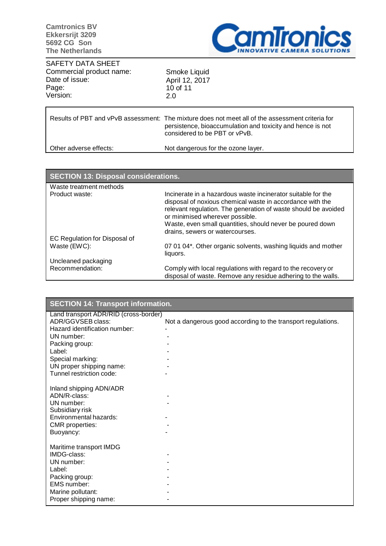

SAFETY DATA SHEET Commercial product name: Date of issue: Page: Version:

Smoke Liquid April 12, 2017 10 of 11 2.0

|                        | Results of PBT and vPvB assessment: The mixture does not meet all of the assessment criteria for<br>persistence, bioaccumulation and toxicity and hence is not<br>considered to be PBT or vPvB. |
|------------------------|-------------------------------------------------------------------------------------------------------------------------------------------------------------------------------------------------|
| Other adverse effects: | Not dangerous for the ozone layer.                                                                                                                                                              |

| SECTION 13: Disposal considerations. |                                                                                                                                                                                                                                                                                                                                |
|--------------------------------------|--------------------------------------------------------------------------------------------------------------------------------------------------------------------------------------------------------------------------------------------------------------------------------------------------------------------------------|
| Waste treatment methods              |                                                                                                                                                                                                                                                                                                                                |
| Product waste:                       | Incinerate in a hazardous waste incinerator suitable for the<br>disposal of noxious chemical waste in accordance with the<br>relevant regulation. The generation of waste should be avoided<br>or minimised wherever possible.<br>Waste, even small quantities, should never be poured down<br>drains, sewers or watercourses. |
| EC Regulation for Disposal of        |                                                                                                                                                                                                                                                                                                                                |
| Waste (EWC):                         | 07 01 04*. Other organic solvents, washing liquids and mother<br>liquors.                                                                                                                                                                                                                                                      |
| Uncleaned packaging                  |                                                                                                                                                                                                                                                                                                                                |
| Recommendation:                      | Comply with local regulations with regard to the recovery or<br>disposal of waste. Remove any residue adhering to the walls.                                                                                                                                                                                                   |

| <b>SECTION 14: Transport information.</b>                    |  |
|--------------------------------------------------------------|--|
| Land transport ADR/RID (cross-border)                        |  |
| Not a dangerous good according to the transport regulations. |  |
|                                                              |  |
|                                                              |  |
|                                                              |  |
|                                                              |  |
|                                                              |  |
|                                                              |  |
|                                                              |  |
|                                                              |  |
|                                                              |  |
|                                                              |  |
|                                                              |  |
|                                                              |  |
|                                                              |  |
|                                                              |  |
|                                                              |  |
|                                                              |  |
|                                                              |  |
|                                                              |  |
|                                                              |  |
|                                                              |  |
|                                                              |  |
|                                                              |  |
|                                                              |  |
|                                                              |  |